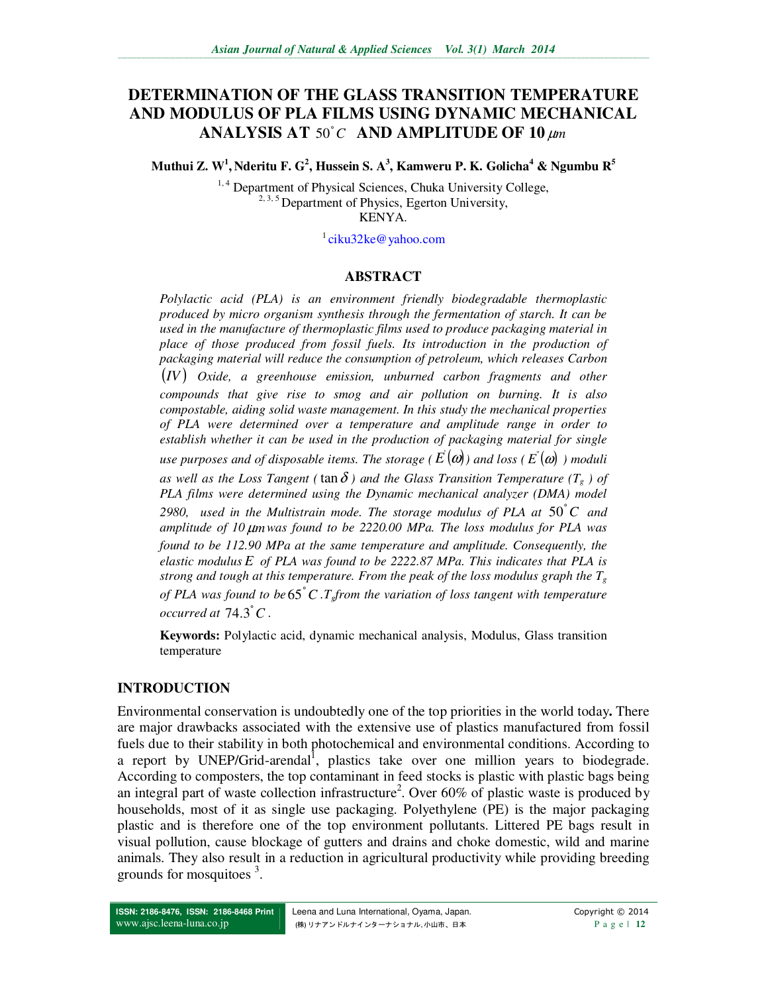# **DETERMINATION OF THE GLASS TRANSITION TEMPERATURE AND MODULUS OF PLA FILMS USING DYNAMIC MECHANICAL ANALYSIS AT 50°C AND AMPLITUDE OF 10 µm**

**Muthui Z. W<sup>1</sup> , Nderitu F. G<sup>2</sup> , Hussein S. A<sup>3</sup> , Kamweru P. K. Golicha<sup>4</sup> & Ngumbu R<sup>5</sup>**

<sup>1,4</sup> Department of Physical Sciences, Chuka University College, <sup>2, 3, 5</sup> Department of Physics, Egerton University, KENYA.

<sup>1</sup>ciku32ke@yahoo.com

#### **ABSTRACT**

*Polylactic acid (PLA) is an environment friendly biodegradable thermoplastic produced by micro organism synthesis through the fermentation of starch. It can be used in the manufacture of thermoplastic films used to produce packaging material in place of those produced from fossil fuels. Its introduction in the production of packaging material will reduce the consumption of petroleum, which releases Carbon*  (*IV* ) *Oxide, a greenhouse emission, unburned carbon fragments and other compounds that give rise to smog and air pollution on burning. It is also compostable, aiding solid waste management. In this study the mechanical properties of PLA were determined over a temperature and amplitude range in order to establish whether it can be used in the production of packaging material for single*   $\mu$ se purposes and of disposable items. The storage (  $E'(\boldsymbol{a})$  ) and loss (  $E^{'}(\boldsymbol{a})$  ) moduli *as well as the Loss Tangent (*  $\tan \delta$  *) and the Glass Transition Temperature (T<sub>g</sub>) of PLA films were determined using the Dynamic mechanical analyzer (DMA) model*  2980, used in the Multistrain mode. The storage modulus of PLA at  $50^{\circ}$ C and *amplitude of 10* µ*mwas found to be 2220.00 MPa. The loss modulus for PLA was found to be 112.90 MPa at the same temperature and amplitude. Consequently, the elastic modulus E of PLA was found to be 2222.87 MPa. This indicates that PLA is strong and tough at this temperature. From the peak of the loss modulus graph the*  $T_g$ *of PLA was found to be C* ° 65 *.Tgfrom the variation of loss tangent with temperature occurred at*  $74.3^{\circ}$  *C*.

**Keywords:** Polylactic acid, dynamic mechanical analysis, Modulus, Glass transition temperature

#### **INTRODUCTION**

Environmental conservation is undoubtedly one of the top priorities in the world today**.** There are major drawbacks associated with the extensive use of plastics manufactured from fossil fuels due to their stability in both photochemical and environmental conditions. According to a report by UNEP/Grid-arendal<sup>1</sup>, plastics take over one million years to biodegrade. According to composters, the top contaminant in feed stocks is plastic with plastic bags being an integral part of waste collection infrastructure<sup>2</sup>. Over 60% of plastic waste is produced by households, most of it as single use packaging. Polyethylene (PE) is the major packaging plastic and is therefore one of the top environment pollutants. Littered PE bags result in visual pollution, cause blockage of gutters and drains and choke domestic, wild and marine animals. They also result in a reduction in agricultural productivity while providing breeding grounds for mosquitoes<sup>3</sup>.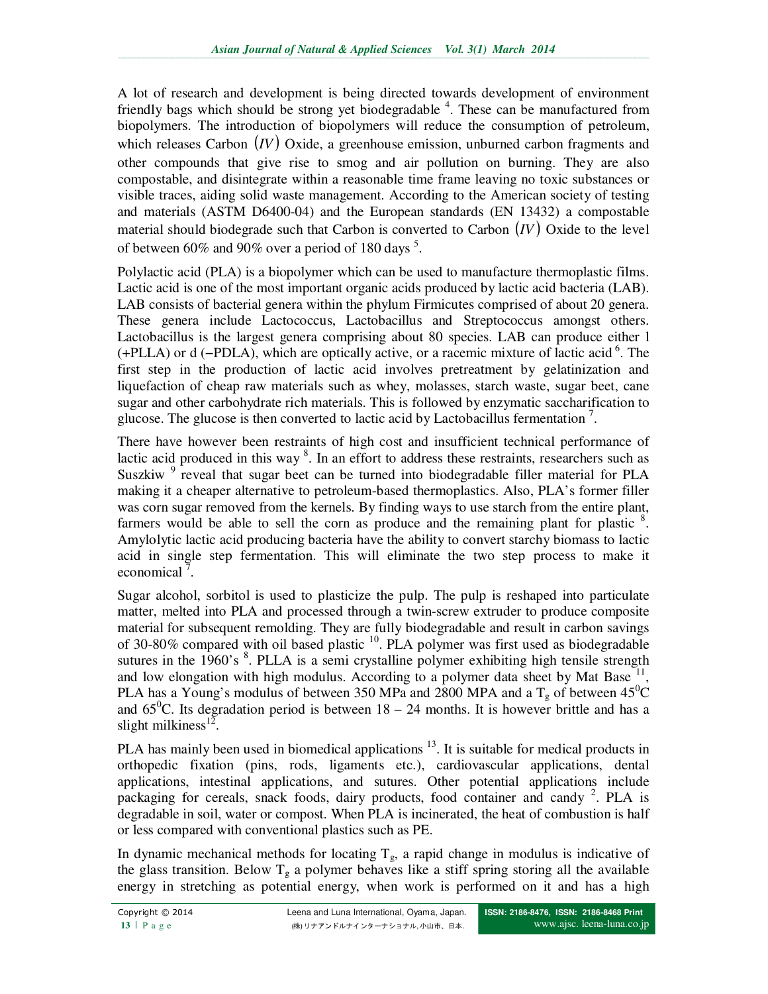A lot of research and development is being directed towards development of environment friendly bags which should be strong yet biodegradable <sup>4</sup>. These can be manufactured from biopolymers. The introduction of biopolymers will reduce the consumption of petroleum, which releases Carbon (*IV*) Oxide, a greenhouse emission, unburned carbon fragments and other compounds that give rise to smog and air pollution on burning. They are also compostable, and disintegrate within a reasonable time frame leaving no toxic substances or visible traces, aiding solid waste management. According to the American society of testing and materials (ASTM D6400-04) and the European standards (EN 13432) a compostable material should biodegrade such that Carbon is converted to Carbon (*IV*) Oxide to the level of between 60% and 90% over a period of 180 days<sup>5</sup>.

Polylactic acid (PLA) is a biopolymer which can be used to manufacture thermoplastic films. Lactic acid is one of the most important organic acids produced by lactic acid bacteria (LAB). LAB consists of bacterial genera within the phylum Firmicutes comprised of about 20 genera. These genera include Lactococcus, Lactobacillus and Streptococcus amongst others. Lactobacillus is the largest genera comprising about 80 species. LAB can produce either l  $(+PLLA)$  or d  $(-PDLA)$ , which are optically active, or a racemic mixture of lactic acid<sup>6</sup>. The first step in the production of lactic acid involves pretreatment by gelatinization and liquefaction of cheap raw materials such as whey, molasses, starch waste, sugar beet, cane sugar and other carbohydrate rich materials. This is followed by enzymatic saccharification to glucose. The glucose is then converted to lactic acid by Lactobacillus fermentation<sup>7</sup>.

There have however been restraints of high cost and insufficient technical performance of lactic acid produced in this way<sup>8</sup>. In an effort to address these restraints, researchers such as Suszkiw<sup>9</sup> reveal that sugar beet can be turned into biodegradable filler material for PLA making it a cheaper alternative to petroleum-based thermoplastics. Also, PLA's former filler was corn sugar removed from the kernels. By finding ways to use starch from the entire plant, farmers would be able to sell the corn as produce and the remaining plant for plastic <sup>8</sup>. Amylolytic lactic acid producing bacteria have the ability to convert starchy biomass to lactic acid in single step fermentation. This will eliminate the two step process to make it economical<sup> $7$ </sup>.

Sugar alcohol, sorbitol is used to plasticize the pulp. The pulp is reshaped into particulate matter, melted into PLA and processed through a twin-screw extruder to produce composite material for subsequent remolding. They are fully biodegradable and result in carbon savings of 30-80% compared with oil based plastic  $^{10}$ . PLA polymer was first used as biodegradable sutures in the  $1960$ 's  $8$ . PLLA is a semi crystalline polymer exhibiting high tensile strength and low elongation with high modulus. According to a polymer data sheet by Mat Base  $11$ , PLA has a Young's modulus of between 350 MPa and 2800 MPA and a  $T_g$  of between 45<sup>0</sup>C and  $65^{\circ}$ C. Its degradation period is between  $18 - 24$  months. It is however brittle and has a slight milkiness<sup>12</sup>.

PLA has mainly been used in biomedical applications<sup>13</sup>. It is suitable for medical products in orthopedic fixation (pins, rods, ligaments etc.), cardiovascular applications, dental applications, intestinal applications, and sutures. Other potential applications include packaging for cereals, snack foods, dairy products, food container and candy <sup>2</sup>. PLA is degradable in soil, water or compost. When PLA is incinerated, the heat of combustion is half or less compared with conventional plastics such as PE.

In dynamic mechanical methods for locating  $T_g$ , a rapid change in modulus is indicative of the glass transition. Below  $T_g$  a polymer behaves like a stiff spring storing all the available energy in stretching as potential energy, when work is performed on it and has a high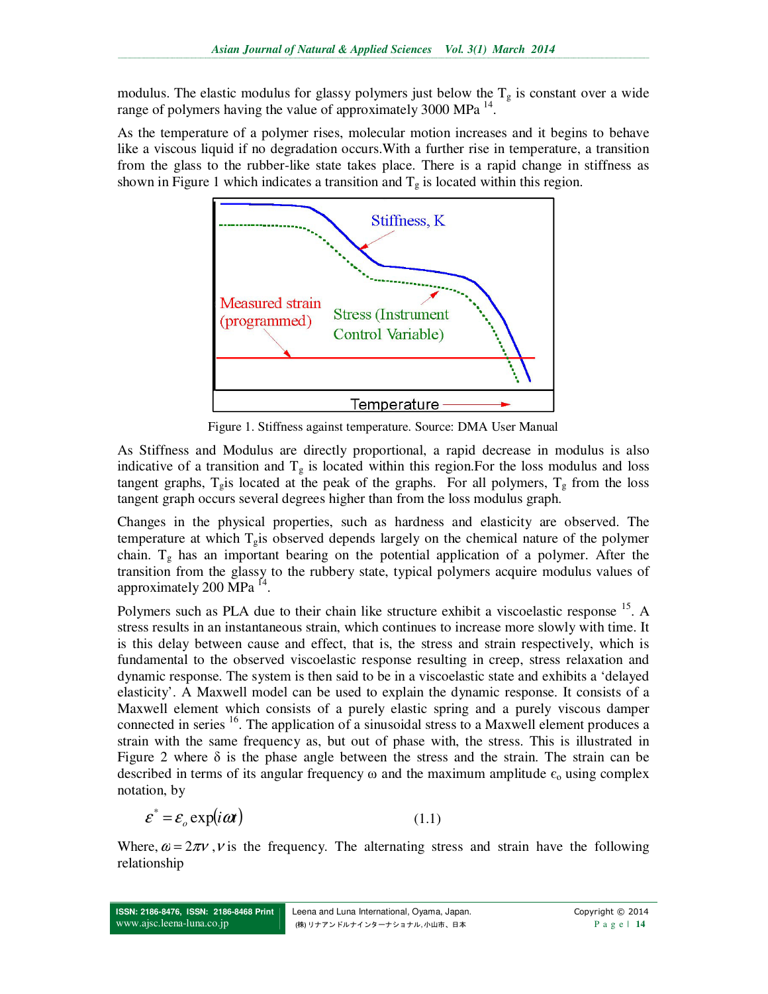modulus. The elastic modulus for glassy polymers just below the  $T_g$  is constant over a wide range of polymers having the value of approximately 3000 MPa<sup>14</sup>.

As the temperature of a polymer rises, molecular motion increases and it begins to behave like a viscous liquid if no degradation occurs.With a further rise in temperature, a transition from the glass to the rubber-like state takes place. There is a rapid change in stiffness as shown in Figure 1 which indicates a transition and  $T<sub>g</sub>$  is located within this region.



Figure 1. Stiffness against temperature. Source: DMA User Manual

As Stiffness and Modulus are directly proportional, a rapid decrease in modulus is also indicative of a transition and  $T_g$  is located within this region. For the loss modulus and loss tangent graphs,  $T_g$  is located at the peak of the graphs. For all polymers,  $T_g$  from the loss tangent graph occurs several degrees higher than from the loss modulus graph.

Changes in the physical properties, such as hardness and elasticity are observed. The temperature at which  $T_{g}$  is observed depends largely on the chemical nature of the polymer chain.  $T_g$  has an important bearing on the potential application of a polymer. After the transition from the glassy to the rubbery state, typical polymers acquire modulus values of approximately 200 MPa<sup>14</sup>.

Polymers such as PLA due to their chain like structure exhibit a viscoelastic response <sup>15</sup>. A stress results in an instantaneous strain, which continues to increase more slowly with time. It is this delay between cause and effect, that is, the stress and strain respectively, which is fundamental to the observed viscoelastic response resulting in creep, stress relaxation and dynamic response. The system is then said to be in a viscoelastic state and exhibits a 'delayed elasticity'. A Maxwell model can be used to explain the dynamic response. It consists of a Maxwell element which consists of a purely elastic spring and a purely viscous damper connected in series  $16$ . The application of a sinusoidal stress to a Maxwell element produces a strain with the same frequency as, but out of phase with, the stress. This is illustrated in Figure 2 where  $\delta$  is the phase angle between the stress and the strain. The strain can be described in terms of its angular frequency  $\omega$  and the maximum amplitude  $\epsilon_0$  using complex notation, by

$$
\varepsilon^* = \varepsilon_o \exp(i\omega t) \tag{1.1}
$$

Where,  $\omega = 2\pi v$ , v is the frequency. The alternating stress and strain have the following relationship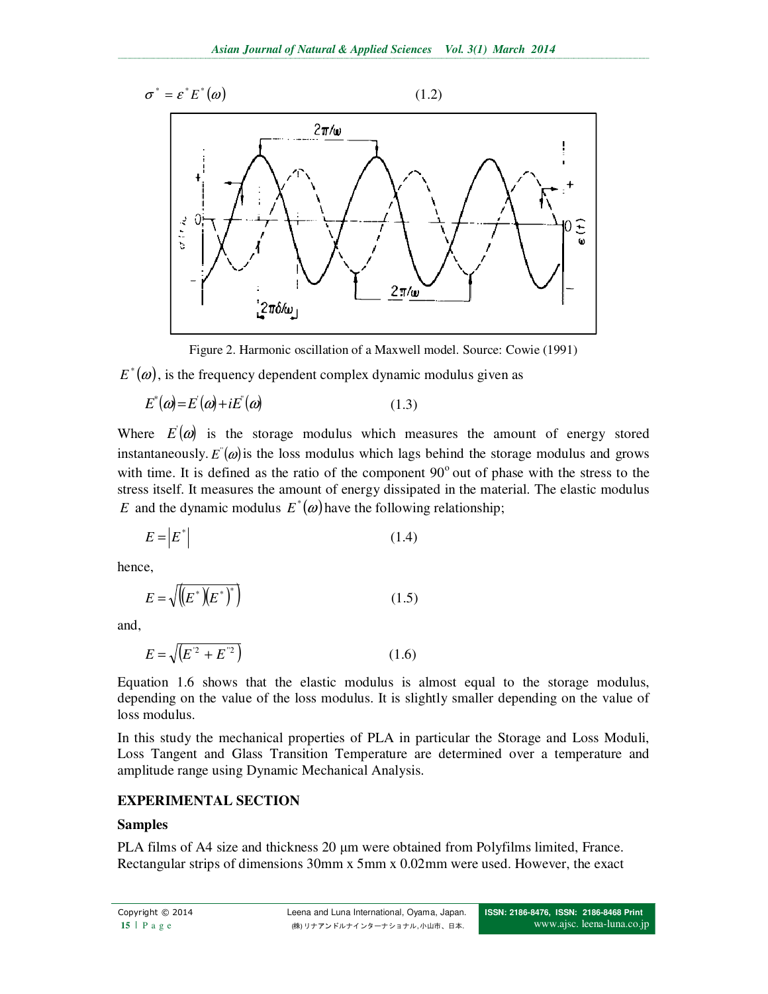

Figure 2. Harmonic oscillation of a Maxwell model. Source: Cowie (1991)

 $E^*(\omega)$ , is the frequency dependent complex dynamic modulus given as

$$
E^*(\omega) = E^*(\omega) + iE^*(\omega) \tag{1.3}
$$

Where  $E(\omega)$  is the storage modulus which measures the amount of energy stored instantaneously.  $E^{\prime}(\omega)$  is the loss modulus which lags behind the storage modulus and grows with time. It is defined as the ratio of the component  $90^{\circ}$  out of phase with the stress to the stress itself. It measures the amount of energy dissipated in the material. The elastic modulus *E* and the dynamic modulus  $E^*(\omega)$  have the following relationship;

$$
E = \left| E^* \right| \tag{1.4}
$$

hence,

$$
E = \sqrt{\left(E^*\left(E^*\right)^*\right)}\tag{1.5}
$$

and,

$$
E = \sqrt{E^2 + E^2}
$$
 (1.6)

Equation 1.6 shows that the elastic modulus is almost equal to the storage modulus, depending on the value of the loss modulus. It is slightly smaller depending on the value of loss modulus.

In this study the mechanical properties of PLA in particular the Storage and Loss Moduli, Loss Tangent and Glass Transition Temperature are determined over a temperature and amplitude range using Dynamic Mechanical Analysis.

## **EXPERIMENTAL SECTION**

### **Samples**

PLA films of A4 size and thickness 20  $\mu$ m were obtained from Polyfilms limited, France. Rectangular strips of dimensions 30mm x 5mm x 0.02mm were used. However, the exact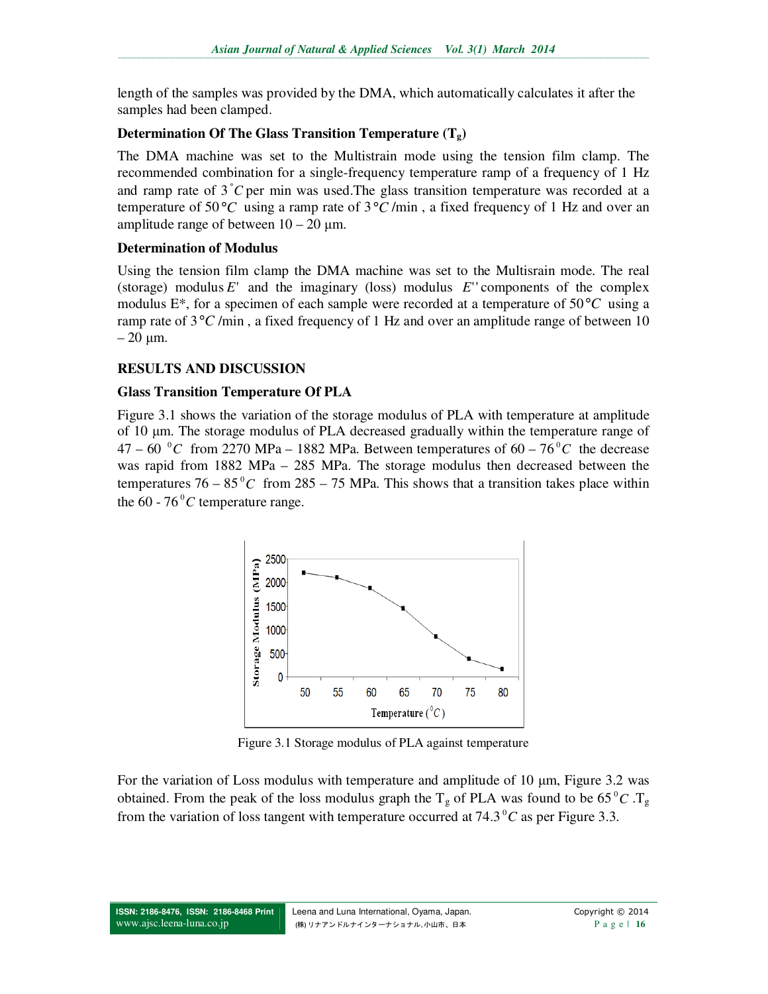length of the samples was provided by the DMA, which automatically calculates it after the samples had been clamped.

### **Determination Of The Glass Transition Temperature (Tg)**

The DMA machine was set to the Multistrain mode using the tension film clamp. The recommended combination for a single-frequency temperature ramp of a frequency of 1 Hz and ramp rate of  $3^{\circ}C$  per min was used. The glass transition temperature was recorded at a temperature of 50 °C using a ramp rate of  $3$  °C/min, a fixed frequency of 1 Hz and over an amplitude range of between  $10 - 20 \mu m$ .

### **Determination of Modulus**

Using the tension film clamp the DMA machine was set to the Multisrain mode. The real (storage) modulus  $E'$  and the imaginary (loss) modulus  $E'$  components of the complex modulus E\*, for a specimen of each sample were recorded at a temperature of 50°*C* using a ramp rate of  $3^{\circ}C$ /min, a fixed frequency of 1 Hz and over an amplitude range of between 10  $-20 \mu m$ .

## **RESULTS AND DISCUSSION**

### **Glass Transition Temperature Of PLA**

Figure 3.1 shows the variation of the storage modulus of PLA with temperature at amplitude of 10 µm. The storage modulus of PLA decreased gradually within the temperature range of  $47 - 60$  °C from 2270 MPa – 1882 MPa. Between temperatures of  $60 - 76$ °C the decrease was rapid from 1882 MPa – 285 MPa. The storage modulus then decreased between the temperatures  $76 - 85\degree C$  from  $285 - 75$  MPa. This shows that a transition takes place within the  $60 - 76^{\circ}C$  temperature range.



Figure 3.1 Storage modulus of PLA against temperature

For the variation of Loss modulus with temperature and amplitude of 10  $\mu$ m, Figure 3.2 was obtained. From the peak of the loss modulus graph the  $T_g$  of PLA was found to be  $65\degree C$ .  $T_g$ from the variation of loss tangent with temperature occurred at  $74.3\,^{\circ}$ C as per Figure 3.3.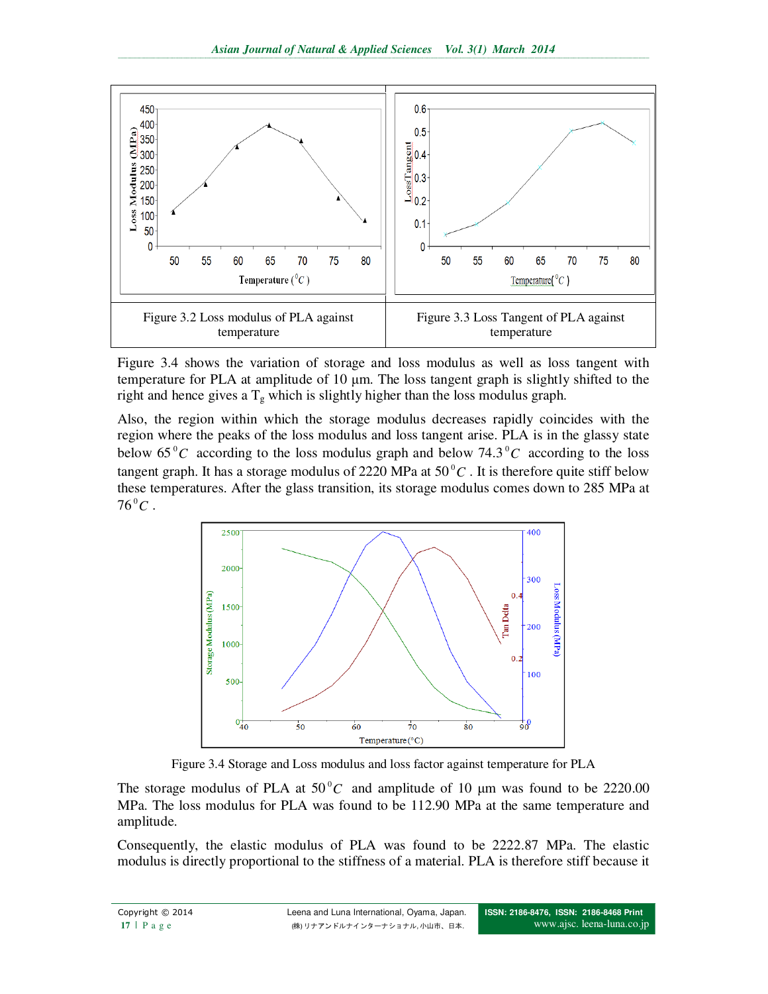

Figure 3.4 shows the variation of storage and loss modulus as well as loss tangent with temperature for PLA at amplitude of 10 µm. The loss tangent graph is slightly shifted to the right and hence gives a  $T_g$  which is slightly higher than the loss modulus graph.

Also, the region within which the storage modulus decreases rapidly coincides with the region where the peaks of the loss modulus and loss tangent arise. PLA is in the glassy state below  $65\degree C$  according to the loss modulus graph and below  $74.3\degree C$  according to the loss tangent graph. It has a storage modulus of 2220 MPa at  $50\degree C$  . It is therefore quite stiff below these temperatures. After the glass transition, its storage modulus comes down to 285 MPa at  $76^{\circ}C$  .

![](_page_5_Figure_4.jpeg)

Figure 3.4 Storage and Loss modulus and loss factor against temperature for PLA

The storage modulus of PLA at  $50^{\circ}$ C and amplitude of 10  $\mu$ m was found to be 2220.00 MPa. The loss modulus for PLA was found to be 112.90 MPa at the same temperature and amplitude.

Consequently, the elastic modulus of PLA was found to be 2222.87 MPa. The elastic modulus is directly proportional to the stiffness of a material. PLA is therefore stiff because it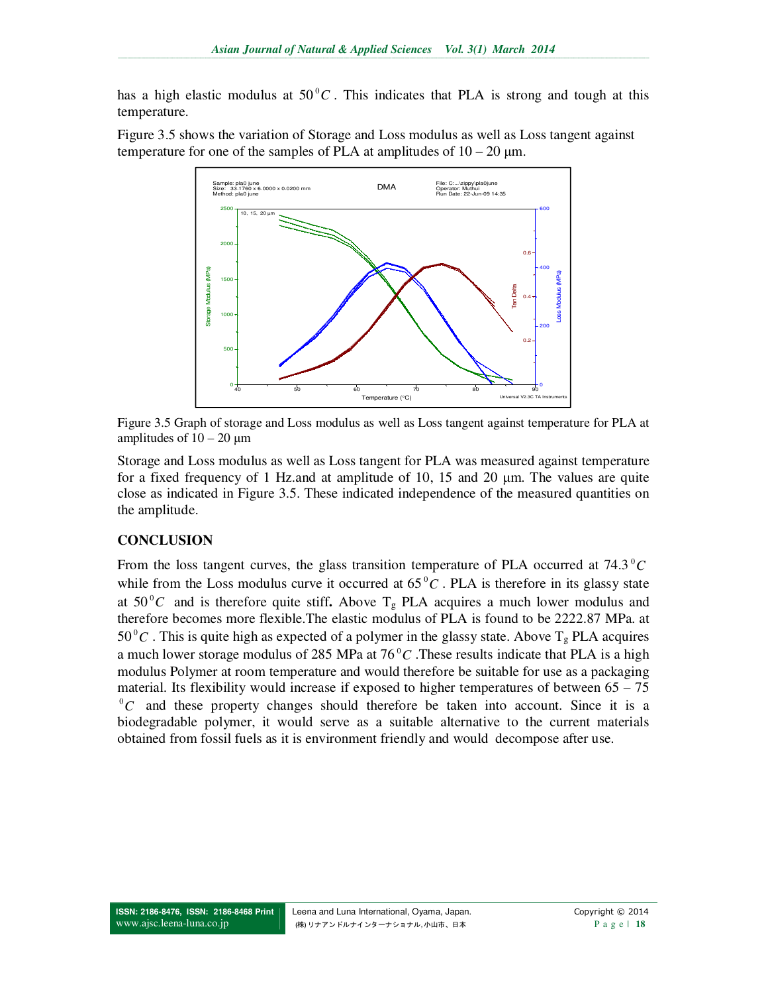has a high elastic modulus at  $50\,^{\circ}$ C. This indicates that PLA is strong and tough at this temperature.

Figure 3.5 shows the variation of Storage and Loss modulus as well as Loss tangent against temperature for one of the samples of PLA at amplitudes of  $10 - 20 \mu m$ .

![](_page_6_Figure_3.jpeg)

Figure 3.5 Graph of storage and Loss modulus as well as Loss tangent against temperature for PLA at amplitudes of  $10 - 20 \mu m$ 

Storage and Loss modulus as well as Loss tangent for PLA was measured against temperature for a fixed frequency of 1 Hz.and at amplitude of 10, 15 and 20 µm. The values are quite close as indicated in Figure 3.5. These indicated independence of the measured quantities on the amplitude.

### **CONCLUSION**

From the loss tangent curves, the glass transition temperature of PLA occurred at 74.3<sup>°</sup>C while from the Loss modulus curve it occurred at  $65\,^{\circ}C$ . PLA is therefore in its glassy state at  $50^{\circ}$ C and is therefore quite stiff. Above T<sub>g</sub> PLA acquires a much lower modulus and therefore becomes more flexible.The elastic modulus of PLA is found to be 2222.87 MPa. at  $50^{\circ}$ C. This is quite high as expected of a polymer in the glassy state. Above T<sub>g</sub> PLA acquires a much lower storage modulus of 285 MPa at 76<sup>°</sup>C. These results indicate that PLA is a high modulus Polymer at room temperature and would therefore be suitable for use as a packaging material. Its flexibility would increase if exposed to higher temperatures of between  $65 - 75$  ${}^{0}C$  and these property changes should therefore be taken into account. Since it is a biodegradable polymer, it would serve as a suitable alternative to the current materials obtained from fossil fuels as it is environment friendly and would decompose after use.